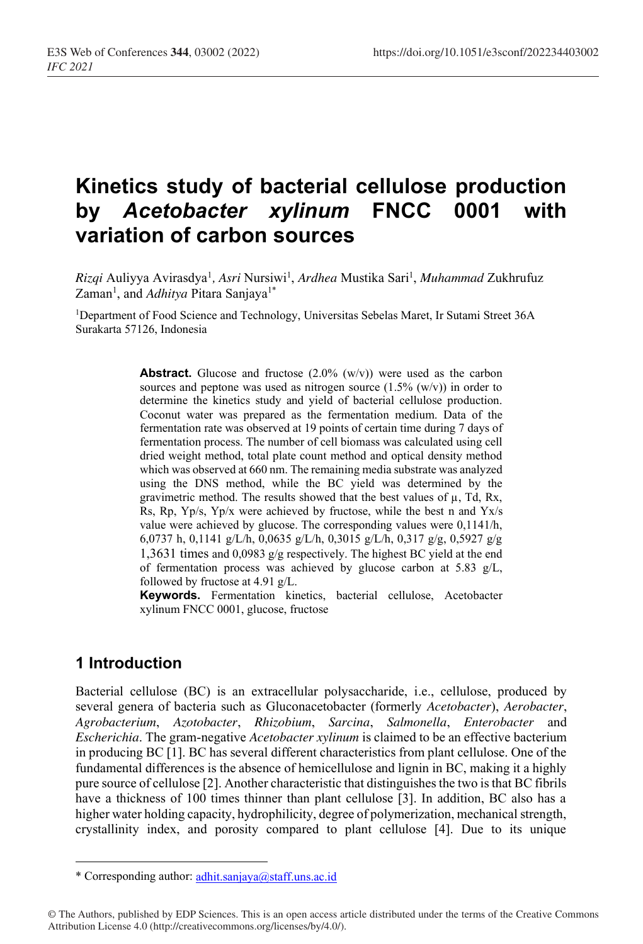# **Kinetics study of bacterial cellulose production by** *Acetobacter xylinum* **FNCC 0001 with variation of carbon sources**

*Rizqi* Auliyya Avirasdya1 *, Asri* Nursiwi1 , *Ardhea* Mustika Sari1 , *Muhammad* Zukhrufuz Zaman<sup>1</sup>, and *Adhitya* Pitara Sanjaya<sup>1\*</sup>

1Department of Food Science and Technology, Universitas Sebelas Maret, Ir Sutami Street 36A Surakarta 57126, Indonesia

> **Abstract.** Glucose and fructose (2.0% (w/v)) were used as the carbon sources and peptone was used as nitrogen source  $(1.5\%$  (w/v)) in order to determine the kinetics study and yield of bacterial cellulose production. Coconut water was prepared as the fermentation medium. Data of the fermentation rate was observed at 19 points of certain time during 7 days of fermentation process. The number of cell biomass was calculated using cell dried weight method, total plate count method and optical density method which was observed at 660 nm. The remaining media substrate was analyzed using the DNS method, while the BC yield was determined by the gravimetric method. The results showed that the best values of  $\mu$ , Td, Rx, Rs, Rp, Yp/s, Yp/x were achieved by fructose, while the best n and Yx/s value were achieved by glucose. The corresponding values were 0,1141/h, 6,0737 h, 0,1141 g/L/h, 0,0635 g/L/h, 0,3015 g/L/h, 0,317 g/g, 0,5927 g/g 1,3631 times and 0,0983 g/g respectively. The highest BC yield at the end of fermentation process was achieved by glucose carbon at 5.83 g/L, followed by fructose at 4.91 g/L.

> **Keywords.** Fermentation kinetics, bacterial cellulose, Acetobacter xylinum FNCC 0001, glucose, fructose

## **1 Introduction**

Bacterial cellulose (BC) is an extracellular polysaccharide, i.e., cellulose, produced by several genera of bacteria such as Gluconacetobacter (formerly *Acetobacter*), *Aerobacter*, *Agrobacterium*, *Azotobacter*, *Rhizobium*, *Sarcina*, *Salmonella*, *Enterobacter* and *Escherichia*. The gram-negative *Acetobacter xylinum* is claimed to be an effective bacterium in producing BC [1]. BC has several different characteristics from plant cellulose. One of the fundamental differences is the absence of hemicellulose and lignin in BC, making it a highly pure source of cellulose [2]. Another characteristic that distinguishes the two is that BC fibrils have a thickness of 100 times thinner than plant cellulose [3]. In addition, BC also has a higher water holding capacity, hydrophilicity, degree of polymerization, mechanical strength, crystallinity index, and porosity compared to plant cellulose [4]. Due to its unique

<sup>\*</sup> Corresponding author: adhit.sanjaya@staff.uns.ac.id

<sup>©</sup> The Authors, published by EDP Sciences. This is an open access article distributed under the terms of the Creative Commons Attribution License 4.0 (http://creativecommons.org/licenses/by/4.0/).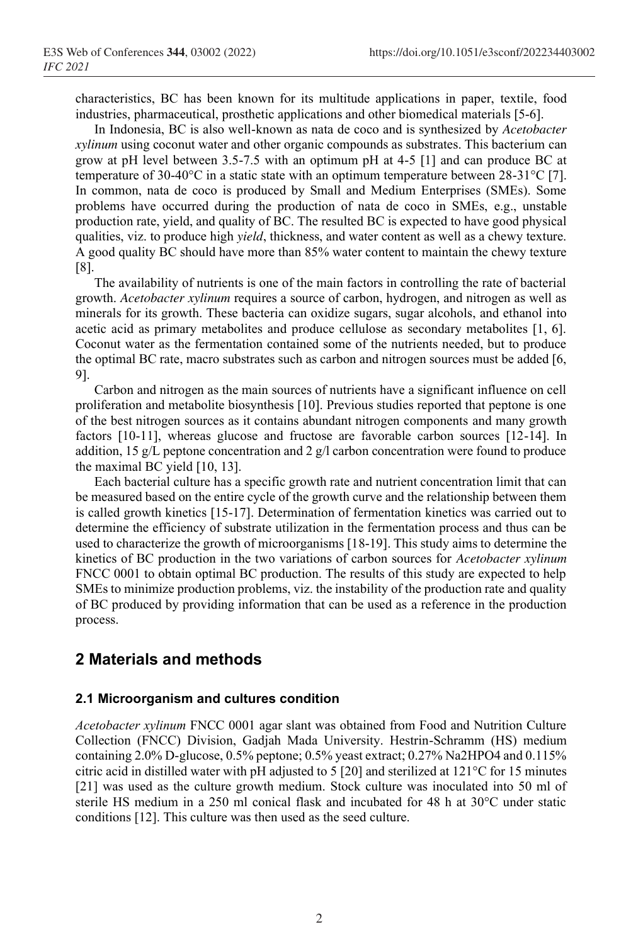characteristics, BC has been known for its multitude applications in paper, textile, food industries, pharmaceutical, prosthetic applications and other biomedical materials [5-6].

In Indonesia, BC is also well-known as nata de coco and is synthesized by *Acetobacter xylinum* using coconut water and other organic compounds as substrates. This bacterium can grow at pH level between 3.5-7.5 with an optimum pH at 4-5 [1] and can produce BC at temperature of 30-40 $^{\circ}$ C in a static state with an optimum temperature between 28-31 $^{\circ}$ C [7]. In common, nata de coco is produced by Small and Medium Enterprises (SMEs). Some problems have occurred during the production of nata de coco in SMEs, e.g., unstable production rate, yield, and quality of BC. The resulted BC is expected to have good physical qualities, viz. to produce high *yield*, thickness, and water content as well as a chewy texture. A good quality BC should have more than 85% water content to maintain the chewy texture [8].

The availability of nutrients is one of the main factors in controlling the rate of bacterial growth. *Acetobacter xylinum* requires a source of carbon, hydrogen, and nitrogen as well as minerals for its growth. These bacteria can oxidize sugars, sugar alcohols, and ethanol into acetic acid as primary metabolites and produce cellulose as secondary metabolites [1, 6]. Coconut water as the fermentation contained some of the nutrients needed, but to produce the optimal BC rate, macro substrates such as carbon and nitrogen sources must be added [6, 9].

Carbon and nitrogen as the main sources of nutrients have a significant influence on cell proliferation and metabolite biosynthesis [10]. Previous studies reported that peptone is one of the best nitrogen sources as it contains abundant nitrogen components and many growth factors [10-11], whereas glucose and fructose are favorable carbon sources [12-14]. In addition, 15 g/L peptone concentration and 2 g/l carbon concentration were found to produce the maximal BC yield [10, 13].

Each bacterial culture has a specific growth rate and nutrient concentration limit that can be measured based on the entire cycle of the growth curve and the relationship between them is called growth kinetics [15-17]. Determination of fermentation kinetics was carried out to determine the efficiency of substrate utilization in the fermentation process and thus can be used to characterize the growth of microorganisms [18-19]. This study aims to determine the kinetics of BC production in the two variations of carbon sources for *Acetobacter xylinum*  FNCC 0001 to obtain optimal BC production. The results of this study are expected to help SMEs to minimize production problems, viz. the instability of the production rate and quality of BC produced by providing information that can be used as a reference in the production process.

# **2 Materials and methods**

#### **2.1 Microorganism and cultures condition**

*Acetobacter xylinum* FNCC 0001 agar slant was obtained from Food and Nutrition Culture Collection (FNCC) Division, Gadjah Mada University. Hestrin-Schramm (HS) medium containing 2.0% D-glucose, 0.5% peptone; 0.5% yeast extract; 0.27% Na2HPO4 and 0.115% citric acid in distilled water with pH adjusted to 5 [20] and sterilized at 121°C for 15 minutes [21] was used as the culture growth medium. Stock culture was inoculated into 50 ml of sterile HS medium in a 250 ml conical flask and incubated for 48 h at 30°C under static conditions [12]. This culture was then used as the seed culture.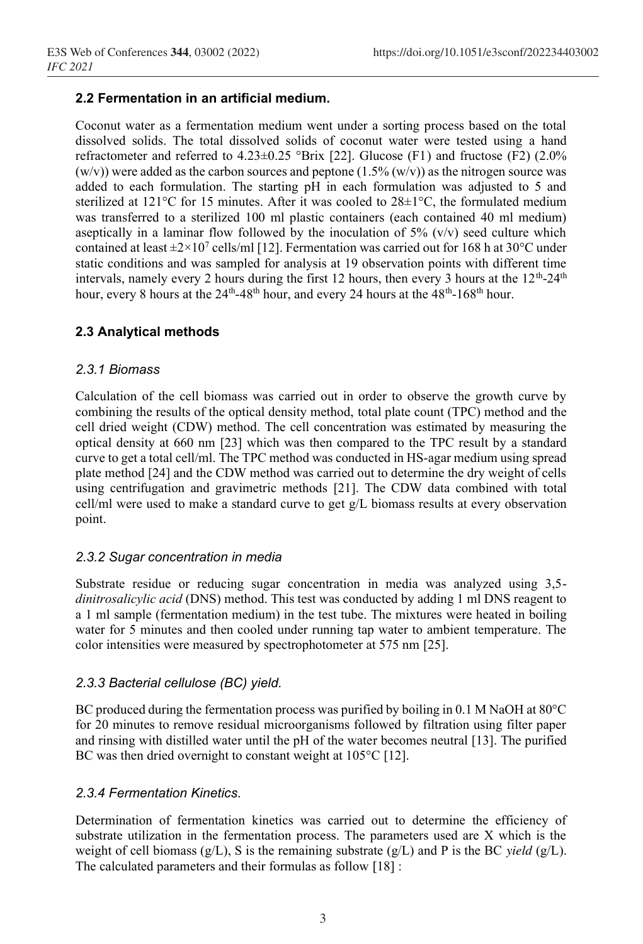## **2.2 Fermentation in an artificial medium.**

Coconut water as a fermentation medium went under a sorting process based on the total dissolved solids. The total dissolved solids of coconut water were tested using a hand refractometer and referred to 4.23±0.25 °Brix [22]. Glucose (F1) and fructose (F2) (2.0%  $(w/v)$ ) were added as the carbon sources and peptone  $(1.5\% (w/v))$  as the nitrogen source was added to each formulation. The starting pH in each formulation was adjusted to 5 and sterilized at  $121^{\circ}$ C for 15 minutes. After it was cooled to  $28\pm1^{\circ}$ C, the formulated medium was transferred to a sterilized 100 ml plastic containers (each contained 40 ml medium) aseptically in a laminar flow followed by the inoculation of  $5\%$  (v/v) seed culture which contained at least  $\pm 2 \times 10^7$  cells/ml [12]. Fermentation was carried out for 168 h at 30°C under static conditions and was sampled for analysis at 19 observation points with different time intervals, namely every 2 hours during the first 12 hours, then every 3 hours at the  $12<sup>th</sup>-24<sup>th</sup>$ hour, every 8 hours at the 24<sup>th</sup>-48<sup>th</sup> hour, and every 24 hours at the 48<sup>th</sup>-168<sup>th</sup> hour.

## **2.3 Analytical methods**

#### *2.3.1 Biomass*

Calculation of the cell biomass was carried out in order to observe the growth curve by combining the results of the optical density method, total plate count (TPC) method and the cell dried weight (CDW) method. The cell concentration was estimated by measuring the optical density at 660 nm [23] which was then compared to the TPC result by a standard curve to get a total cell/ml. The TPC method was conducted in HS-agar medium using spread plate method [24] and the CDW method was carried out to determine the dry weight of cells using centrifugation and gravimetric methods [21]. The CDW data combined with total cell/ml were used to make a standard curve to get g/L biomass results at every observation point.

#### *2.3.2 Sugar concentration in media*

Substrate residue or reducing sugar concentration in media was analyzed using 3,5 *dinitrosalicylic acid* (DNS) method. This test was conducted by adding 1 ml DNS reagent to a 1 ml sample (fermentation medium) in the test tube. The mixtures were heated in boiling water for 5 minutes and then cooled under running tap water to ambient temperature. The color intensities were measured by spectrophotometer at 575 nm [25].

#### *2.3.3 Bacterial cellulose (BC) yield.*

BC produced during the fermentation process was purified by boiling in 0.1 M NaOH at  $80^{\circ}$ C for 20 minutes to remove residual microorganisms followed by filtration using filter paper and rinsing with distilled water until the pH of the water becomes neutral [13]. The purified BC was then dried overnight to constant weight at 105°C [12].

#### *2.3.4 Fermentation Kinetics.*

Determination of fermentation kinetics was carried out to determine the efficiency of substrate utilization in the fermentation process. The parameters used are X which is the weight of cell biomass (g/L), S is the remaining substrate (g/L) and P is the BC *yield* (g/L). The calculated parameters and their formulas as follow [18] :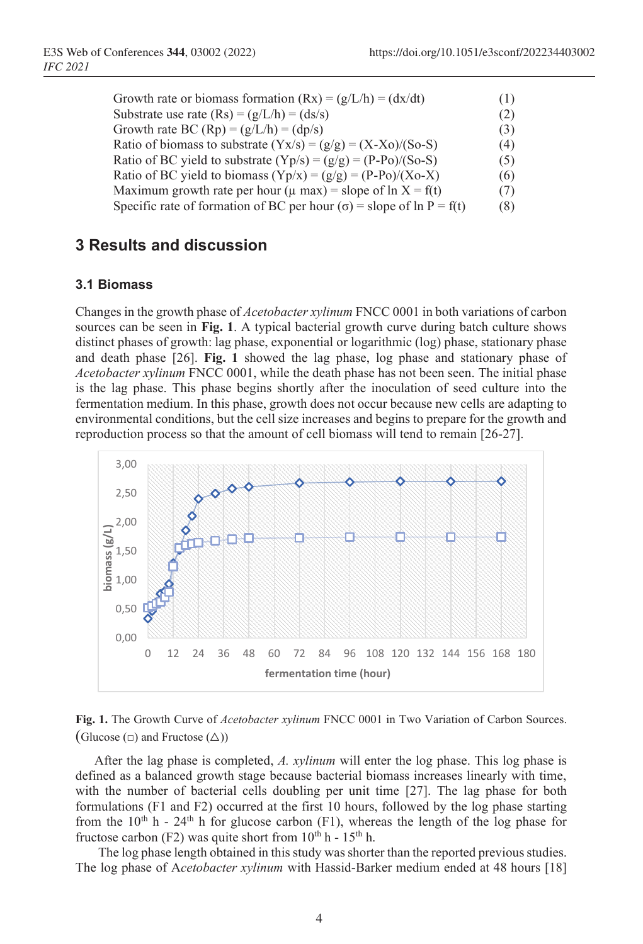| Growth rate or biomass formation $(Rx) = (g/L/h) = (dx/dt)$                   | (1) |
|-------------------------------------------------------------------------------|-----|
| Substrate use rate $(Rs) = (g/L/h) = (ds/s)$                                  | (2) |
| Growth rate BC (Rp) = $(g/L/h) = (dp/s)$                                      | (3) |
| Ratio of biomass to substrate $(Yx/s) = (g/g) = (X-Xo)/(So-S)$                | (4) |
| Ratio of BC yield to substrate $(Yp/s) = (g/g) = (P-Po)/(So-S)$               | (5) |
| Ratio of BC yield to biomass $(Yp/x) = (g/g) = (P-Po)/(Xo-X)$                 | (6) |
| Maximum growth rate per hour ( $\mu$ max) = slope of ln X = f(t)              | (7) |
| Specific rate of formation of BC per hour ( $\sigma$ ) = slope of ln P = f(t) | (8) |

## **3 Results and discussion**

#### **3.1 Biomass**

Changes in the growth phase of *Acetobacter xylinum* FNCC 0001 in both variations of carbon sources can be seen in **Fig. 1**. A typical bacterial growth curve during batch culture shows distinct phases of growth: lag phase, exponential or logarithmic (log) phase, stationary phase and death phase [26]. **Fig. 1** showed the lag phase, log phase and stationary phase of *Acetobacter xylinum* FNCC 0001, while the death phase has not been seen. The initial phase is the lag phase. This phase begins shortly after the inoculation of seed culture into the fermentation medium. In this phase, growth does not occur because new cells are adapting to environmental conditions, but the cell size increases and begins to prepare for the growth and reproduction process so that the amount of cell biomass will tend to remain [26-27].



**Fig. 1.** The Growth Curve of *Acetobacter xylinum* FNCC 0001 in Two Variation of Carbon Sources. (Glucose  $(\square)$  and Fructose  $(\triangle)$ )

After the lag phase is completed, *A. xylinum* will enter the log phase. This log phase is defined as a balanced growth stage because bacterial biomass increases linearly with time, with the number of bacterial cells doubling per unit time [27]. The lag phase for both formulations (F1 and F2) occurred at the first 10 hours, followed by the log phase starting from the  $10<sup>th</sup> h - 24<sup>th</sup> h$  for glucose carbon (F1), whereas the length of the log phase for fructose carbon (F2) was quite short from  $10^{th}$  h -  $15^{th}$  h.

The log phase length obtained in this study was shorter than the reported previous studies. The log phase of A*cetobacter xylinum* with Hassid-Barker medium ended at 48 hours [18]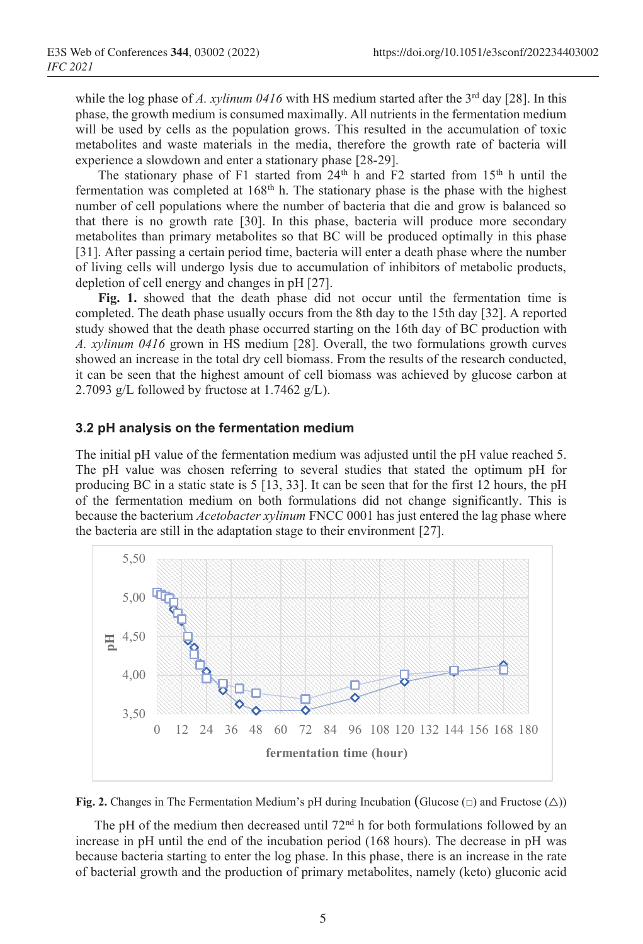while the log phase of *A. xylinum 0416* with HS medium started after the 3<sup>rd</sup> day [28]. In this phase, the growth medium is consumed maximally. All nutrients in the fermentation medium will be used by cells as the population grows. This resulted in the accumulation of toxic metabolites and waste materials in the media, therefore the growth rate of bacteria will experience a slowdown and enter a stationary phase [28-29].

The stationary phase of F1 started from  $24<sup>th</sup>$  h and F2 started from  $15<sup>th</sup>$  h until the fermentation was completed at  $168<sup>th</sup>$  h. The stationary phase is the phase with the highest number of cell populations where the number of bacteria that die and grow is balanced so that there is no growth rate [30]. In this phase, bacteria will produce more secondary metabolites than primary metabolites so that BC will be produced optimally in this phase [31]. After passing a certain period time, bacteria will enter a death phase where the number of living cells will undergo lysis due to accumulation of inhibitors of metabolic products, depletion of cell energy and changes in pH [27].

**Fig. 1.** showed that the death phase did not occur until the fermentation time is completed. The death phase usually occurs from the 8th day to the 15th day [32]. A reported study showed that the death phase occurred starting on the 16th day of BC production with *A. xylinum 0416* grown in HS medium [28]. Overall, the two formulations growth curves showed an increase in the total dry cell biomass. From the results of the research conducted, it can be seen that the highest amount of cell biomass was achieved by glucose carbon at 2.7093 g/L followed by fructose at 1.7462 g/L).

#### **3.2 pH analysis on the fermentation medium**

The initial pH value of the fermentation medium was adjusted until the pH value reached 5. The pH value was chosen referring to several studies that stated the optimum pH for producing BC in a static state is 5 [13, 33]. It can be seen that for the first 12 hours, the pH of the fermentation medium on both formulations did not change significantly. This is because the bacterium *Acetobacter xylinum* FNCC 0001 has just entered the lag phase where the bacteria are still in the adaptation stage to their environment [27].





The pH of the medium then decreased until  $72<sup>nd</sup>$  h for both formulations followed by an increase in pH until the end of the incubation period (168 hours). The decrease in pH was because bacteria starting to enter the log phase. In this phase, there is an increase in the rate of bacterial growth and the production of primary metabolites, namely (keto) gluconic acid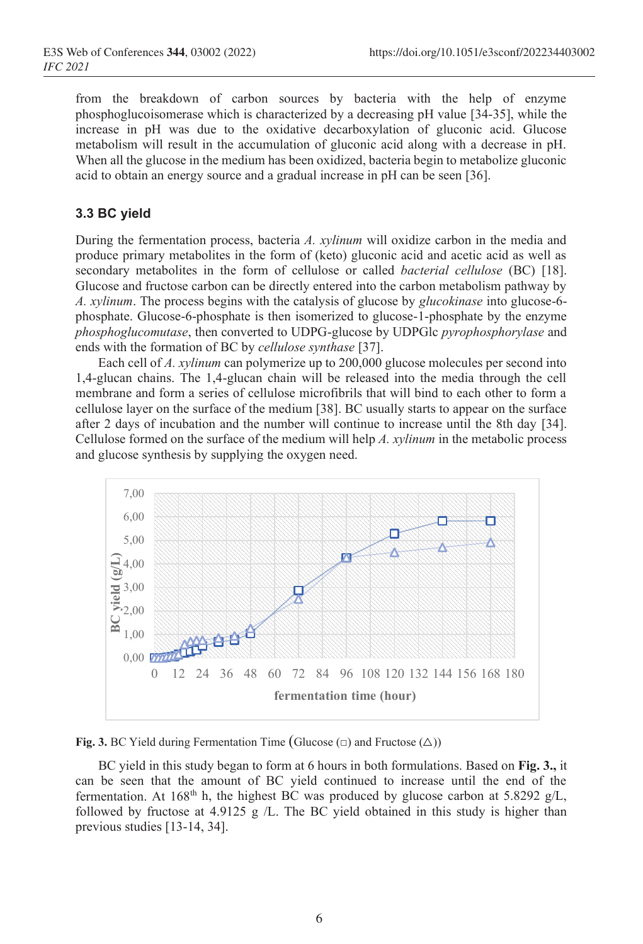from the breakdown of carbon sources by bacteria with the help of enzyme phosphoglucoisomerase which is characterized by a decreasing pH value [34-35], while the increase in pH was due to the oxidative decarboxylation of gluconic acid. Glucose metabolism will result in the accumulation of gluconic acid along with a decrease in pH. When all the glucose in the medium has been oxidized, bacteria begin to metabolize gluconic acid to obtain an energy source and a gradual increase in pH can be seen [36].

#### **3.3 BC yield**

During the fermentation process, bacteria *A. xylinum* will oxidize carbon in the media and produce primary metabolites in the form of (keto) gluconic acid and acetic acid as well as secondary metabolites in the form of cellulose or called *bacterial cellulose* (BC) [18]. Glucose and fructose carbon can be directly entered into the carbon metabolism pathway by *A. xylinum*. The process begins with the catalysis of glucose by *glucokinase* into glucose-6 phosphate. Glucose-6-phosphate is then isomerized to glucose-1-phosphate by the enzyme *phosphoglucomutase*, then converted to UDPG-glucose by UDPGlc *pyrophosphorylase* and ends with the formation of BC by *cellulose synthase* [37].

Each cell of *A. xylinum* can polymerize up to 200,000 glucose molecules per second into 1,4-glucan chains. The 1,4-glucan chain will be released into the media through the cell membrane and form a series of cellulose microfibrils that will bind to each other to form a cellulose layer on the surface of the medium [38]. BC usually starts to appear on the surface after 2 days of incubation and the number will continue to increase until the 8th day [34]. Cellulose formed on the surface of the medium will help *A. xylinum* in the metabolic process and glucose synthesis by supplying the oxygen need.



**Fig. 3.** BC Yield during Fermentation Time (Glucose  $(\square)$ ) and Fructose  $(\triangle)$ )

BC yield in this study began to form at 6 hours in both formulations. Based on **Fig. 3.,** it can be seen that the amount of BC yield continued to increase until the end of the fermentation. At  $168^{\text{th}}$  h, the highest BC was produced by glucose carbon at 5.8292 g/L, followed by fructose at 4.9125 g /L. The BC yield obtained in this study is higher than previous studies [13-14, 34].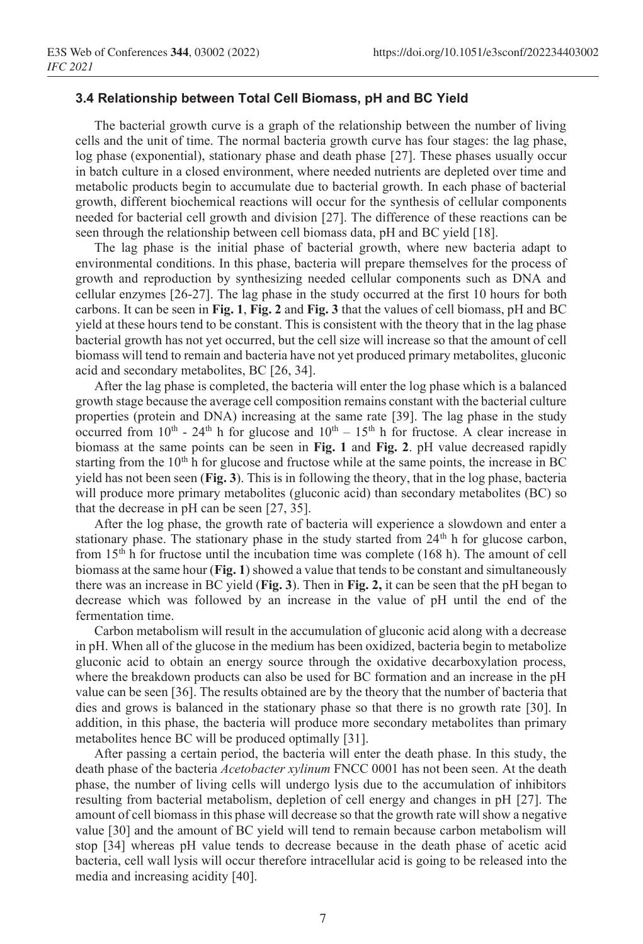#### **3.4 Relationship between Total Cell Biomass, pH and BC Yield**

The bacterial growth curve is a graph of the relationship between the number of living cells and the unit of time. The normal bacteria growth curve has four stages: the lag phase, log phase (exponential), stationary phase and death phase [27]. These phases usually occur in batch culture in a closed environment, where needed nutrients are depleted over time and metabolic products begin to accumulate due to bacterial growth. In each phase of bacterial growth, different biochemical reactions will occur for the synthesis of cellular components needed for bacterial cell growth and division [27]. The difference of these reactions can be seen through the relationship between cell biomass data, pH and BC yield [18].

The lag phase is the initial phase of bacterial growth, where new bacteria adapt to environmental conditions. In this phase, bacteria will prepare themselves for the process of growth and reproduction by synthesizing needed cellular components such as DNA and cellular enzymes [26-27]. The lag phase in the study occurred at the first 10 hours for both carbons. It can be seen in **Fig. 1**, **Fig. 2** and **Fig. 3** that the values of cell biomass, pH and BC yield at these hours tend to be constant. This is consistent with the theory that in the lag phase bacterial growth has not yet occurred, but the cell size will increase so that the amount of cell biomass will tend to remain and bacteria have not yet produced primary metabolites, gluconic acid and secondary metabolites, BC [26, 34].

After the lag phase is completed, the bacteria will enter the log phase which is a balanced growth stage because the average cell composition remains constant with the bacterial culture properties (protein and DNA) increasing at the same rate [39]. The lag phase in the study occurred from  $10^{th}$  -  $24^{th}$  h for glucose and  $10^{th}$  –  $15^{th}$  h for fructose. A clear increase in biomass at the same points can be seen in **Fig. 1** and **Fig. 2**. pH value decreased rapidly starting from the  $10<sup>th</sup>$  h for glucose and fructose while at the same points, the increase in BC yield has not been seen (**Fig. 3**). This is in following the theory, that in the log phase, bacteria will produce more primary metabolites (gluconic acid) than secondary metabolites (BC) so that the decrease in pH can be seen [27, 35].

After the log phase, the growth rate of bacteria will experience a slowdown and enter a stationary phase. The stationary phase in the study started from  $24<sup>th</sup>$  h for glucose carbon, from  $15<sup>th</sup>$  h for fructose until the incubation time was complete (168 h). The amount of cell biomass at the same hour (**Fig. 1**) showed a value that tends to be constant and simultaneously there was an increase in BC yield (**Fig. 3**). Then in **Fig. 2,** it can be seen that the pH began to decrease which was followed by an increase in the value of pH until the end of the fermentation time.

Carbon metabolism will result in the accumulation of gluconic acid along with a decrease in pH. When all of the glucose in the medium has been oxidized, bacteria begin to metabolize gluconic acid to obtain an energy source through the oxidative decarboxylation process, where the breakdown products can also be used for BC formation and an increase in the pH value can be seen [36]. The results obtained are by the theory that the number of bacteria that dies and grows is balanced in the stationary phase so that there is no growth rate [30]. In addition, in this phase, the bacteria will produce more secondary metabolites than primary metabolites hence BC will be produced optimally [31].

After passing a certain period, the bacteria will enter the death phase. In this study, the death phase of the bacteria *Acetobacter xylinum* FNCC 0001 has not been seen. At the death phase, the number of living cells will undergo lysis due to the accumulation of inhibitors resulting from bacterial metabolism, depletion of cell energy and changes in pH [27]. The amount of cell biomass in this phase will decrease so that the growth rate will show a negative value [30] and the amount of BC yield will tend to remain because carbon metabolism will stop [34] whereas pH value tends to decrease because in the death phase of acetic acid bacteria, cell wall lysis will occur therefore intracellular acid is going to be released into the media and increasing acidity [40].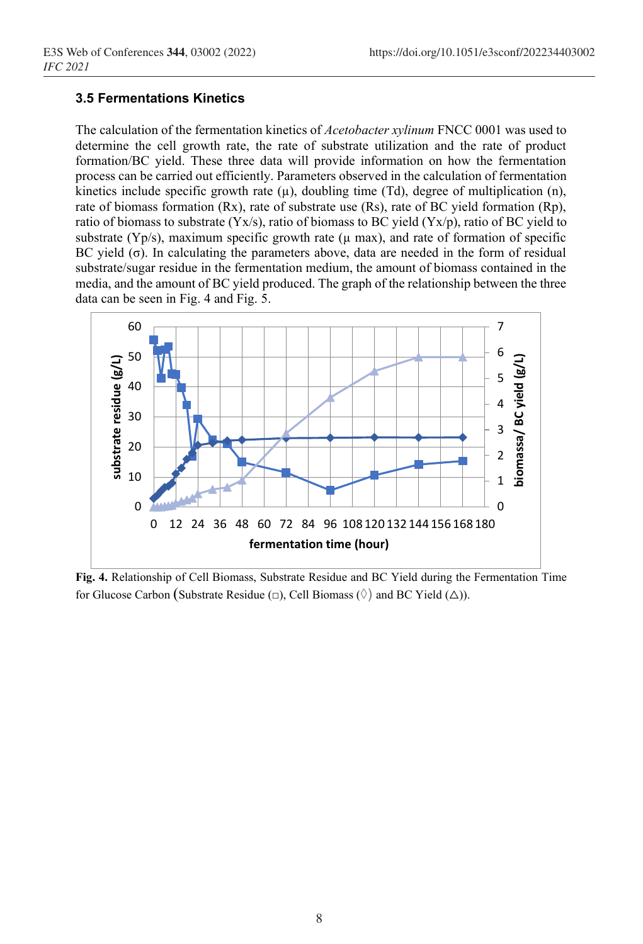## **3.5 Fermentations Kinetics**

The calculation of the fermentation kinetics of *Acetobacter xylinum* FNCC 0001 was used to determine the cell growth rate, the rate of substrate utilization and the rate of product formation/BC yield. These three data will provide information on how the fermentation process can be carried out efficiently. Parameters observed in the calculation of fermentation kinetics include specific growth rate  $(\mu)$ , doubling time (Td), degree of multiplication (n), rate of biomass formation (Rx), rate of substrate use (Rs), rate of BC yield formation (Rp), ratio of biomass to substrate (Yx/s), ratio of biomass to BC yield (Yx/p), ratio of BC yield to substrate (Yp/s), maximum specific growth rate ( $\mu$  max), and rate of formation of specific BC yield (σ). In calculating the parameters above, data are needed in the form of residual substrate/sugar residue in the fermentation medium, the amount of biomass contained in the media, and the amount of BC yield produced. The graph of the relationship between the three data can be seen in Fig. 4 and Fig. 5.



**Fig. 4.** Relationship of Cell Biomass, Substrate Residue and BC Yield during the Fermentation Time for Glucose Carbon (Substrate Residue  $(\square)$ , Cell Biomass  $(\Diamond)$  and BC Yield  $(\triangle)$ ).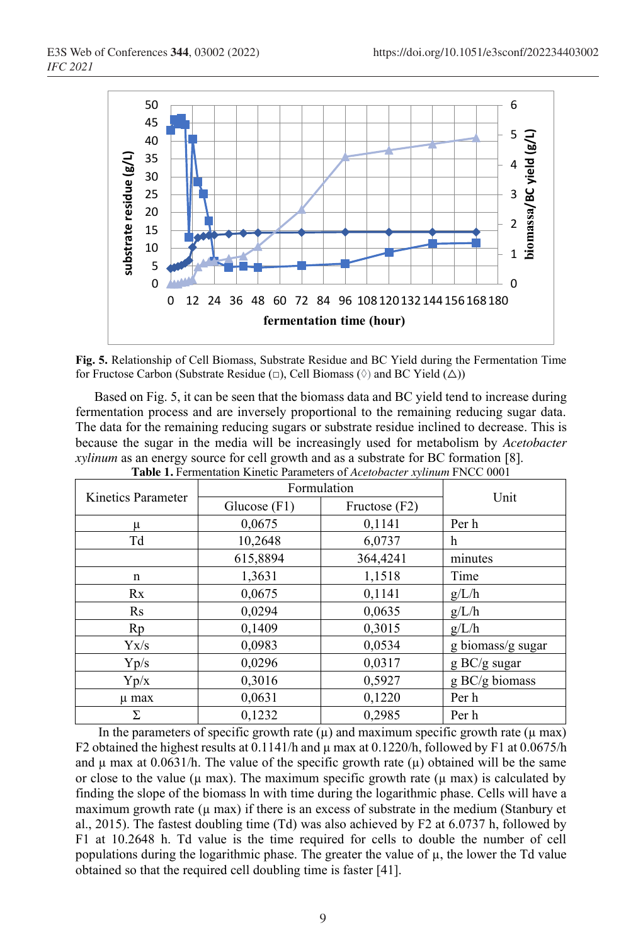

**Fig. 5.** Relationship of Cell Biomass, Substrate Residue and BC Yield during the Fermentation Time for Fructose Carbon (Substrate Residue  $(\Box)$ , Cell Biomass  $(\Diamond)$  and BC Yield  $(\triangle)$ )

Based on Fig. 5, it can be seen that the biomass data and BC yield tend to increase during fermentation process and are inversely proportional to the remaining reducing sugar data. The data for the remaining reducing sugars or substrate residue inclined to decrease. This is because the sugar in the media will be increasingly used for metabolism by *Acetobacter xylinum* as an energy source for cell growth and as a substrate for BC formation [8]. **Table 1.** Fermentation Kinetic Parameters of *Acetobacter xylinum* FNCC 0001

|                    | Tuble III emphanon Itmente I alametro of Herbouclet whilmin I HOO 0001 |               |                        |
|--------------------|------------------------------------------------------------------------|---------------|------------------------|
|                    | Formulation                                                            |               |                        |
| Kinetics Parameter | Glucose $(F1)$                                                         | Fructose (F2) | Unit                   |
| μ                  | 0,0675                                                                 | 0,1141        | Per h                  |
| Td                 | 10,2648                                                                | 6,0737        | h                      |
|                    | 615,8894                                                               | 364,4241      | minutes                |
| $\mathbf n$        | 1,3631                                                                 | 1,1518        | Time                   |
| Rx                 | 0,0675                                                                 | 0,1141        | g/L/h                  |
| $\rm Rs$           | 0,0294                                                                 | 0,0635        | g/L/h                  |
| Rp                 | 0,1409                                                                 | 0,3015        | g/L/h                  |
| Yx/s               | 0,0983                                                                 | 0,0534        | g biomass/g sugar      |
| Yp/s               | 0,0296                                                                 | 0,0317        | $g \text{ BC/g sugar}$ |
| Yp/x               | 0,3016                                                                 | 0,5927        | g BC/g biomass         |
| µ max              | 0,0631                                                                 | 0,1220        | Per h                  |
| Σ                  | 0,1232                                                                 | 0,2985        | Per h                  |

In the parameters of specific growth rate  $(\mu)$  and maximum specific growth rate  $(\mu$  max) F2 obtained the highest results at 0.1141/h and  $\mu$  max at 0.1220/h, followed by F1 at 0.0675/h and  $\mu$  max at 0.0631/h. The value of the specific growth rate  $(\mu)$  obtained will be the same or close to the value ( $\mu$  max). The maximum specific growth rate ( $\mu$  max) is calculated by finding the slope of the biomass ln with time during the logarithmic phase. Cells will have a maximum growth rate  $(\mu \text{ max})$  if there is an excess of substrate in the medium (Stanbury et al., 2015). The fastest doubling time (Td) was also achieved by F2 at 6.0737 h, followed by F1 at 10.2648 h. Td value is the time required for cells to double the number of cell populations during the logarithmic phase. The greater the value of µ, the lower the Td value obtained so that the required cell doubling time is faster [41].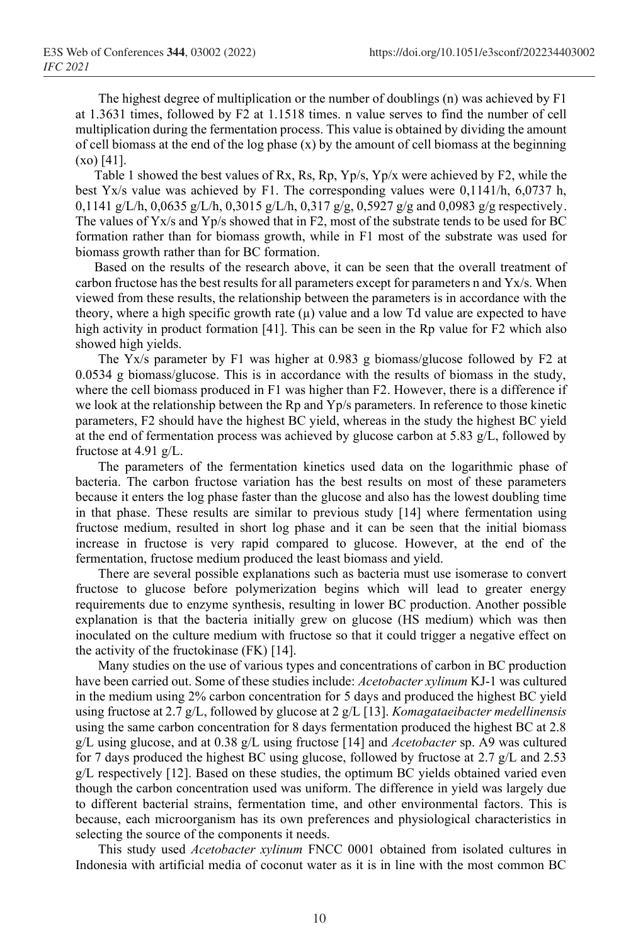The highest degree of multiplication or the number of doublings (n) was achieved by F1 at 1.3631 times, followed by F2 at 1.1518 times. n value serves to find the number of cell multiplication during the fermentation process. This value is obtained by dividing the amount of cell biomass at the end of the log phase  $(x)$  by the amount of cell biomass at the beginning (xo) [41].

Table 1 showed the best values of Rx, Rs, Rp, Yp/s, Yp/x were achieved by F2, while the best Yx/s value was achieved by F1. The corresponding values were 0,1141/h, 6,0737 h, 0,1141 g/L/h, 0,0635 g/L/h, 0,3015 g/L/h, 0,317 g/g, 0,5927 g/g and 0,0983 g/g respectively. The values of Yx/s and Yp/s showed that in F2, most of the substrate tends to be used for BC formation rather than for biomass growth, while in F1 most of the substrate was used for biomass growth rather than for BC formation.

Based on the results of the research above, it can be seen that the overall treatment of carbon fructose has the best results for all parameters except for parameters n and Yx/s. When viewed from these results, the relationship between the parameters is in accordance with the theory, where a high specific growth rate  $(\mu)$  value and a low Td value are expected to have high activity in product formation [41]. This can be seen in the Rp value for F2 which also showed high yields.

The Yx/s parameter by F1 was higher at 0.983 g biomass/glucose followed by F2 at 0.0534 g biomass/glucose. This is in accordance with the results of biomass in the study, where the cell biomass produced in F1 was higher than F2. However, there is a difference if we look at the relationship between the Rp and Yp/s parameters. In reference to those kinetic parameters, F2 should have the highest BC yield, whereas in the study the highest BC yield at the end of fermentation process was achieved by glucose carbon at 5.83 g/L, followed by fructose at 4.91 g/L.

The parameters of the fermentation kinetics used data on the logarithmic phase of bacteria. The carbon fructose variation has the best results on most of these parameters because it enters the log phase faster than the glucose and also has the lowest doubling time in that phase. These results are similar to previous study [14] where fermentation using fructose medium, resulted in short log phase and it can be seen that the initial biomass increase in fructose is very rapid compared to glucose. However, at the end of the fermentation, fructose medium produced the least biomass and yield.

There are several possible explanations such as bacteria must use isomerase to convert fructose to glucose before polymerization begins which will lead to greater energy requirements due to enzyme synthesis, resulting in lower BC production. Another possible explanation is that the bacteria initially grew on glucose (HS medium) which was then inoculated on the culture medium with fructose so that it could trigger a negative effect on the activity of the fructokinase (FK) [14].

Many studies on the use of various types and concentrations of carbon in BC production have been carried out. Some of these studies include: *Acetobacter xylinum* KJ-1 was cultured in the medium using 2% carbon concentration for 5 days and produced the highest BC yield using fructose at 2.7 g/L, followed by glucose at 2 g/L [13]. *Komagataeibacter medellinensis* using the same carbon concentration for 8 days fermentation produced the highest BC at 2.8 g/L using glucose, and at 0.38 g/L using fructose [14] and *Acetobacter* sp. A9 was cultured for 7 days produced the highest BC using glucose, followed by fructose at 2.7 g/L and 2.53 g/L respectively [12]. Based on these studies, the optimum BC yields obtained varied even though the carbon concentration used was uniform. The difference in yield was largely due to different bacterial strains, fermentation time, and other environmental factors. This is because, each microorganism has its own preferences and physiological characteristics in selecting the source of the components it needs.

This study used *Acetobacter xylinum* FNCC 0001 obtained from isolated cultures in Indonesia with artificial media of coconut water as it is in line with the most common BC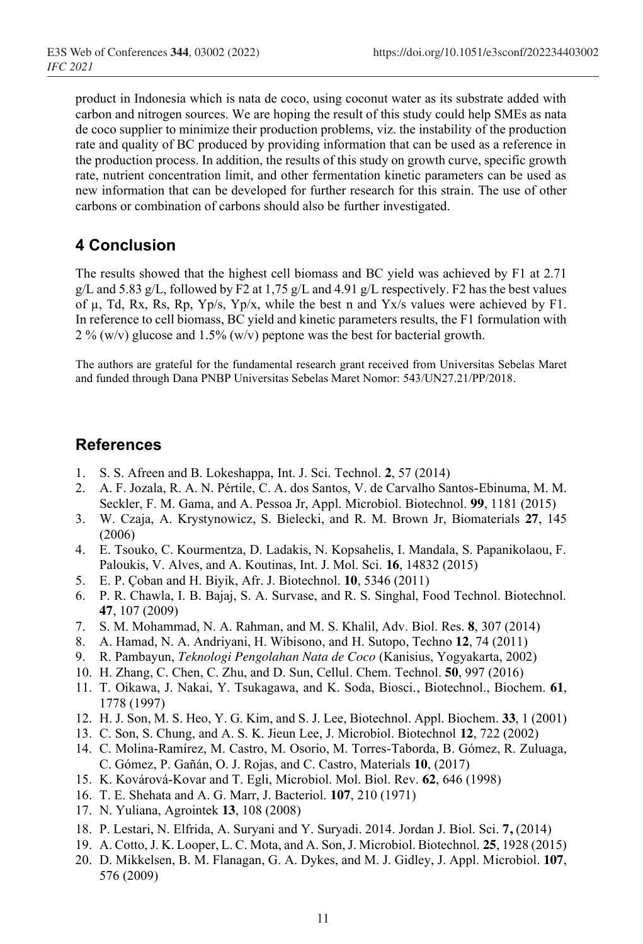product in Indonesia which is nata de coco, using coconut water as its substrate added with carbon and nitrogen sources. We are hoping the result of this study could help SMEs as nata de coco supplier to minimize their production problems, viz. the instability of the production rate and quality of BC produced by providing information that can be used as a reference in the production process. In addition, the results of this study on growth curve, specific growth rate, nutrient concentration limit, and other fermentation kinetic parameters can be used as new information that can be developed for further research for this strain. The use of other carbons or combination of carbons should also be further investigated.

# **4 Conclusion**

The results showed that the highest cell biomass and BC yield was achieved by F1 at 2.71 g/L and 5.83 g/L, followed by F2 at 1,75 g/L and 4.91 g/L respectively. F2 has the best values of  $\mu$ , Td, Rx, Rs, Rp, Yp/s, Yp/x, while the best n and Yx/s values were achieved by F1. In reference to cell biomass, BC yield and kinetic parameters results, the F1 formulation with 2 % (w/v) glucose and 1.5% (w/v) peptone was the best for bacterial growth.

The authors are grateful for the fundamental research grant received from Universitas Sebelas Maret and funded through Dana PNBP Universitas Sebelas Maret Nomor: 543/UN27.21/PP/2018.

## **References**

- 1. S. S. Afreen and B. Lokeshappa, Int. J. Sci. Technol. **2**, 57 (2014)
- 2. A. F. Jozala, R. A. N. Pértile, C. A. dos Santos, V. de Carvalho Santos-Ebinuma, M. M. Seckler, F. M. Gama, and A. Pessoa Jr, Appl. Microbiol. Biotechnol. **99**, 1181 (2015)
- 3. W. Czaja, A. Krystynowicz, S. Bielecki, and R. M. Brown Jr, Biomaterials **27**, 145 (2006)
- 4. E. Tsouko, C. Kourmentza, D. Ladakis, N. Kopsahelis, I. Mandala, S. Papanikolaou, F. Paloukis, V. Alves, and A. Koutinas, Int. J. Mol. Sci. **16**, 14832 (2015)
- 5. E. P. Çoban and H. Biyik, Afr. J. Biotechnol. **10**, 5346 (2011)
- 6. P. R. Chawla, I. B. Bajaj, S. A. Survase, and R. S. Singhal, Food Technol. Biotechnol. **47**, 107 (2009)
- 7. S. M. Mohammad, N. A. Rahman, and M. S. Khalil, Adv. Biol. Res. **8**, 307 (2014)
- 8. A. Hamad, N. A. Andriyani, H. Wibisono, and H. Sutopo, Techno **12**, 74 (2011)
- 9. R. Pambayun, *Teknologi Pengolahan Nata de Coco* (Kanisius, Yogyakarta, 2002)
- 10. H. Zhang, C. Chen, C. Zhu, and D. Sun, Cellul. Chem. Technol. **50**, 997 (2016)
- 11. T. Oikawa, J. Nakai, Y. Tsukagawa, and K. Soda, Biosci., Biotechnol., Biochem. **61**, 1778 (1997)
- 12. H. J. Son, M. S. Heo, Y. G. Kim, and S. J. Lee, Biotechnol. Appl. Biochem. **33**, 1 (2001)
- 13. C. Son, S. Chung, and A. S. K. Jieun Lee, J. Microbiol. Biotechnol **12**, 722 (2002)
- 14. C. Molina-Ramírez, M. Castro, M. Osorio, M. Torres-Taborda, B. Gómez, R. Zuluaga, C. Gómez, P. Gañán, O. J. Rojas, and C. Castro, Materials **10**, (2017)
- 15. K. Kovárová-Kovar and T. Egli, Microbiol. Mol. Biol. Rev. **62**, 646 (1998)
- 16. T. E. Shehata and A. G. Marr, J. Bacteriol. **107**, 210 (1971)
- 17. N. Yuliana, Agrointek **13**, 108 (2008)
- 18. P. Lestari, N. Elfrida, A. Suryani and Y. Suryadi. 2014. Jordan J. Biol. Sci. **7,** (2014)
- 19. A. Cotto, J. K. Looper, L. C. Mota, and A. Son, J. Microbiol. Biotechnol. **25**, 1928 (2015)
- 20. D. Mikkelsen, B. M. Flanagan, G. A. Dykes, and M. J. Gidley, J. Appl. Microbiol. **107**, 576 (2009)